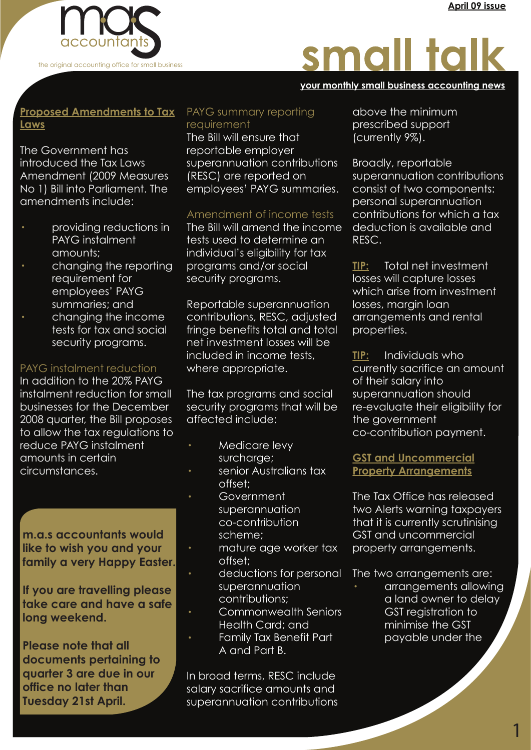

# small talk

#### **your monthly small business accounting news your monthly small business accounting news your monthly small business accounting news**

### **Proposed Amendments to Tax Laws**

The Government has introduced the Tax Laws Amendment (2009 Measures No 1) Bill into Parliament. The amendments include:

- providing reductions in PAYG instalment amounts;
- changing the reporting requirement for employees' PAYG summaries; and
- · changing the income tests for tax and social security programs.

#### PAYG instalment reduction

In addition to the 20% PAYG instalment reduction for small businesses for the December 2008 quarter, the Bill proposes to allow the tax regulations to reduce PAYG instalment amounts in certain circumstances.

**like to wish you and your family a very Happy Easter.**

**If you are travelling please take care and have a safe long weekend.**

**Please note that all documents pertaining to quarter 3 are due in our office no later than Tuesday 21st April.**

#### PAYG summary reporting requirement

The Bill will ensure that reportable employer superannuation contributions (RESC) are reported on employees' PAYG summaries.

### Amendment of income tests

The Bill will amend the income tests used to determine an individual's eligibility for tax programs and/or social security programs.

Reportable superannuation contributions, RESC, adjusted fringe benefits total and total net investment losses will be included in income tests, where appropriate.

The tax programs and social security programs that will be affected include:

- · Medicare levy surcharge;
- senior Australians tax offset;
- Government superannuation co-contribution scheme;
- mature age worker tax offset;
- deductions for personal superannuation contributions;
- Commonwealth Seniors Health Card; and
- Family Tax Benefit Part A and Part B.

In broad terms, RESC include salary sacrifice amounts and superannuation contributions above the minimum prescribed support (currently 9%).

Broadly, reportable superannuation contributions consist of two components: personal superannuation contributions for which a tax deduction is available and RESC.

**TIP:** Total net investment losses will capture losses which arise from investment losses, margin loan arrangements and rental properties.

**TIP:** Individuals who currently sacrifice an amount of their salary into superannuation should re-evaluate their eligibility for the government co-contribution payment.

#### **GST and Uncommercial Property Arrangements**

**Payroll CO-CONTIDUTION FINGLIT IS CUTTENTLY SCIUTINISING**<br>**Payroll CO-CONTIDUTION FINGLIT IS CUTTENTS OF CONTINUTION** The Tax Office has released two Alerts warning taxpayers that it is currently scrutinising GST and uncommercial property arrangements.

The two arrangements are:

arrangements allowing a land owner to delay GST registration to minimise the GST payable under the

1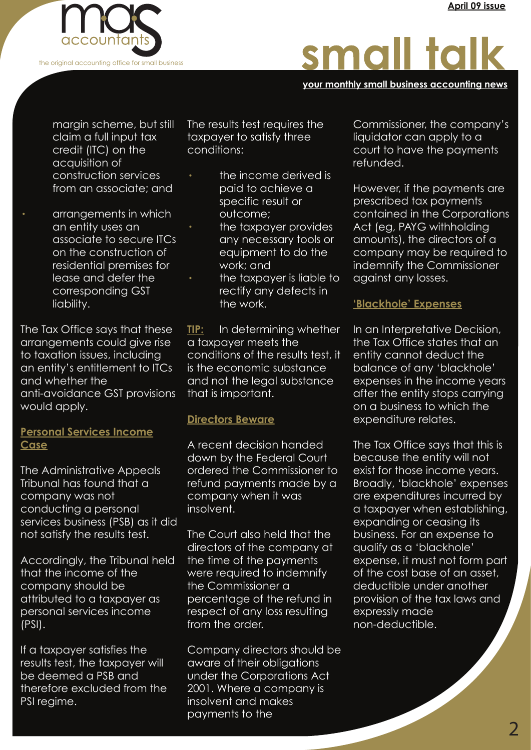

# small talk

**your monthly small business accounting news your monthly small business accounting news your monthly small business accounting news**

 margin scheme, but still claim a full input tax credit (ITC) on the acquisition of construction services from an associate; and

· arrangements in which an entity uses an associate to secure ITCs on the construction of residential premises for lease and defer the corresponding GST liability.

The Tax Office says that these arrangements could give rise to taxation issues, including an entity's entitlement to ITCs and whether the anti-avoidance GST provisions would apply.

## **Personal Services Income Case**

The Administrative Appeals Tribunal has found that a company was not conducting a personal services business (PSB) as it did not satisfy the results test.

Accordingly, the Tribunal held that the income of the company should be attributed to a taxpayer as personal services income (PSI).

If a taxpayer satisfies the results test, the taxpayer will be deemed a PSB and therefore excluded from the PSI regime.

The results test requires the taxpayer to satisfy three conditions:

- the income derived is paid to achieve a specific result or outcome;
- · the taxpayer provides any necessary tools or equipment to do the work; and
	- the taxpayer is liable to rectify any defects in the work.

**TIP:** In determining whether a taxpayer meets the conditions of the results test, it is the economic substance and not the legal substance that is important.

#### **Directors Beware**

A recent decision handed down by the Federal Court ordered the Commissioner to refund payments made by a company when it was insolvent.

The Court also held that the directors of the company at the time of the payments were required to indemnify the Commissioner a percentage of the refund in respect of any loss resulting from the order.

Company directors should be aware of their obligations under the Corporations Act 2001. Where a company is insolvent and makes payments to the

Commissioner, the company's liquidator can apply to a court to have the payments refunded.

However, if the payments are prescribed tax payments contained in the Corporations Act (eg, PAYG withholding amounts), the directors of a company may be required to indemnify the Commissioner against any losses.

### **'Blackhole' Expenses**

In an Interpretative Decision, the Tax Office states that an entity cannot deduct the balance of any 'blackhole' expenses in the income years after the entity stops carrying on a business to which the expenditure relates.

expanding or ceasing its<br>Ind satisfy the results test. The Court also held that the business. For an expense to The Tax Office says that this is because the entity will not exist for those income years. Broadly, 'blackhole' expenses are expenditures incurred by a taxpayer when establishing, expanding or ceasing its business. For an expense to qualify as a 'blackhole' expense, it must not form part of the cost base of an asset, deductible under another provision of the tax laws and expressly made non-deductible.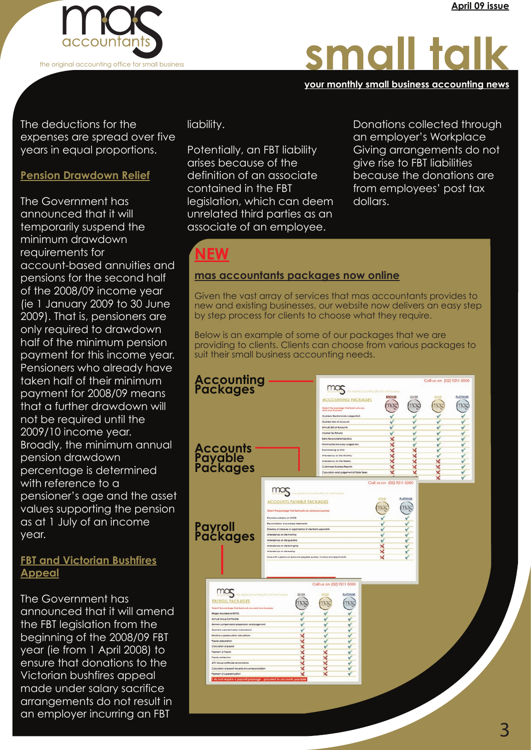

# small talk

#### **your monthly small business accounting news your monthly small business accounting news your monthly small business accounting news**

The deductions for the expenses are spread over five years in equal proportions.

#### **Pension Drawdown Relief**

as at TJUIY OF an Income<br> **Payroll Packages** The Government has announced that it will temporarily suspend the minimum drawdown requirements for account-based annuities and pensions for the second half of the 2008/09 income year (ie 1 January 2009 to 30 June 2009). That is, pensioners are only required to drawdown half of the minimum pension payment for this income year. Pensioners who already have taken half of their minimum payment for 2008/09 means that a further drawdown will not be required until the 2009/10 income year. Broadly, the minimum annual pension drawdown percentage is determined with reference to a pensioner's age and the asset values supporting the pension as at 1 July of an income year.

#### **FBT and Victorian Bushfires Appeal**

The Government has announced that it will amend the FBT legislation from the beginning of the 2008/09 FBT year (ie from 1 April 2008) to ensure that donations to the Victorian bushfires appeal made under salary sacrifice arrangements do not result in an employer incurring an FBT

liability.

Potentially, an FBT liability arises because of the definition of an associate contained in the FBT legislation, which can deem unrelated third parties as an associate of an employee.

Donations collected through an employer's Workplace Giving arrangements do not give rise to FBT liabilities because the donations are from employees' post tax dollars.

# **NEW**

#### **mas accountants packages now online**

Given the vast array of services that mas accountants provides to new and existing businesses, our website now delivers an easy step by step process for clients to choose what they require.

Below is an example of some of our packages that we are providing to clients. Clients can choose from various packages to suit their small business accounting needs.